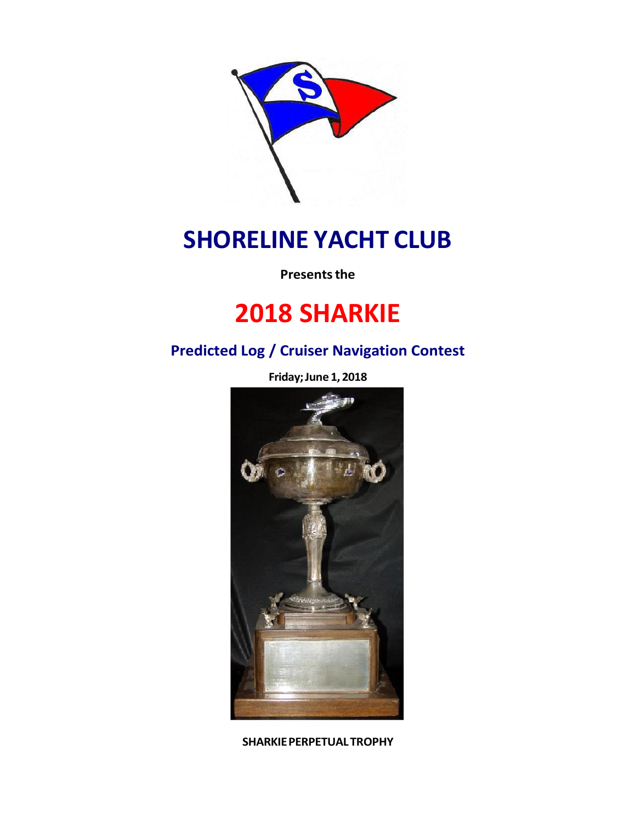

# **SHORELINE YACHT CLUB**

**Presents the** 

# **2018 SHARKIE**

# **Predicted Log / Cruiser Navigation Contest**

**Friday;June 1, 2018**



**SHARKIEPERPETUALTROPHY**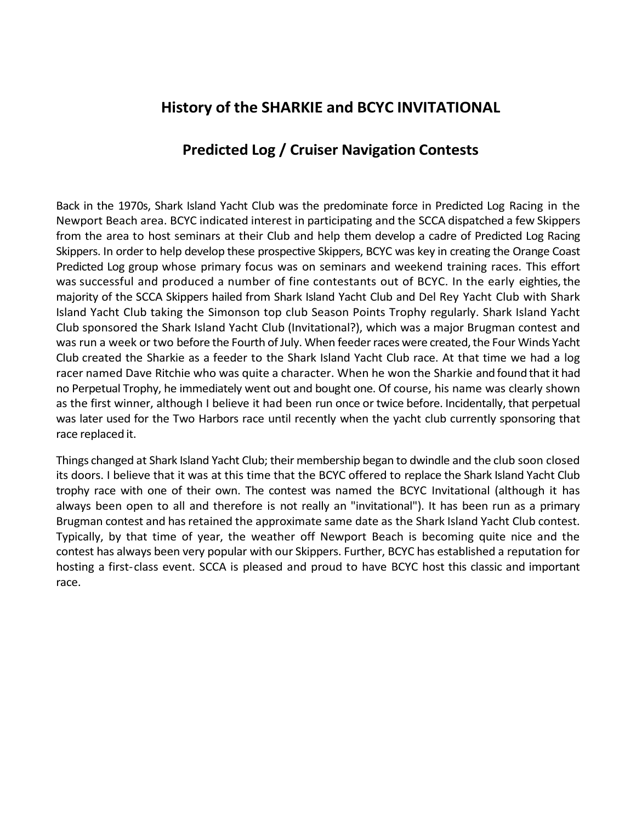### **History of the SHARKIE and BCYC INVITATIONAL**

### **Predicted Log / Cruiser Navigation Contests**

Back in the 1970s, Shark Island Yacht Club was the predominate force in Predicted Log Racing in the Newport Beach area. BCYC indicated interest in participating and the SCCA dispatched a few Skippers from the area to host seminars at their Club and help them develop a cadre of Predicted Log Racing Skippers. In order to help develop these prospective Skippers, BCYC was key in creating the Orange Coast Predicted Log group whose primary focus was on seminars and weekend training races. This effort was successful and produced a number of fine contestants out of BCYC. In the early eighties, the majority of the SCCA Skippers hailed from Shark Island Yacht Club and Del Rey Yacht Club with Shark Island Yacht Club taking the Simonson top club Season Points Trophy regularly. Shark Island Yacht Club sponsored the Shark Island Yacht Club (Invitational?), which was a major Brugman contest and was run a week or two before the Fourth of July. When feeder races were created, the Four Winds Yacht Club created the Sharkie as a feeder to the Shark Island Yacht Club race. At that time we had a log racer named Dave Ritchie who was quite a character. When he won the Sharkie and found that it had no Perpetual Trophy, he immediately went out and bought one. Of course, his name was clearly shown as the first winner, although I believe it had been run once or twice before. Incidentally, that perpetual was later used for the Two Harbors race until recently when the yacht club currently sponsoring that race replaced it.

Things changed at Shark Island Yacht Club; their membership began to dwindle and the club soon closed its doors. I believe that it was at this time that the BCYC offered to replace the Shark Island Yacht Club trophy race with one of their own. The contest was named the BCYC Invitational (although it has always been open to all and therefore is not really an "invitational"). It has been run as a primary Brugman contest and hasretained the approximate same date as the Shark Island Yacht Club contest. Typically, by that time of year, the weather off Newport Beach is becoming quite nice and the contest has always been very popular with our Skippers. Further, BCYC has established a reputation for hosting a first-class event. SCCA is pleased and proud to have BCYC host this classic and important race.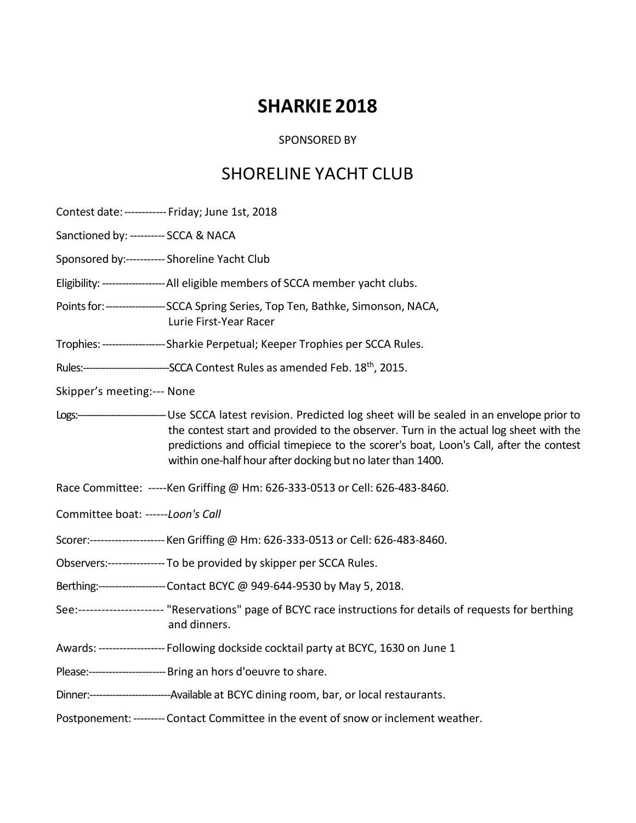# **SHARKIE 2018**

#### SPONSORED BY

## SHORELINE YACHT CLUB

Contest date: ------------ Friday; June 1st, 2018

Sanctioned by: ---------- SCCA & NACA

Sponsored by:----------- Shoreline Yacht Club

Eligibility:-------------------All eligible members of SCCA member yacht clubs.

Points for: ------------------- SCCA Spring Series, Top Ten, Bathke, Simonson, NACA, Lurie First-Year Racer

Trophies:-------------------Sharkie Perpetual; Keeper Trophies per SCCA Rules.

Rules:------------------------------SCCA Contest Rules as amended Feb. 18<sup>th</sup>, 2015.

Skipper's meeting:--- None

Logs:------------------------------Use SCCA latest revision. Predicted log sheet will be sealed in an envelope prior to the contest start and provided to the observer. Turn in the actual log sheet with the predictions and official timepiece to the scorer's boat, Loon's Call, after the contest within one-half hour after docking but no later than 1400.

Race Committee: -----Ken Griffing @ Hm: 626-333-0513 or Cell: 626-483-8460.

Committee boat: ------*Loon's Call*

Scorer:---------------------Ken Griffing @ Hm: 626-333-0513 or Cell: 626-483-8460.

Observers:---------------- To be provided by skipper per SCCA Rules.

Berthing:--------------------Contact BCYC @ 949-644-9530 by May 5, 2018.

See:---------------------- "Reservations" page of BCYC race instructions for details of requests for berthing and dinners.

Awards: ------------------- Following dockside cocktail party at BCYC, 1630 on June 1

Please:-----------------------Bring an hors d'oeuvre to share.

Dinner:-------------------------Available at BCYC dining room, bar, or local restaurants.

Postponement:---------Contact Committee in the event of snow or inclement weather.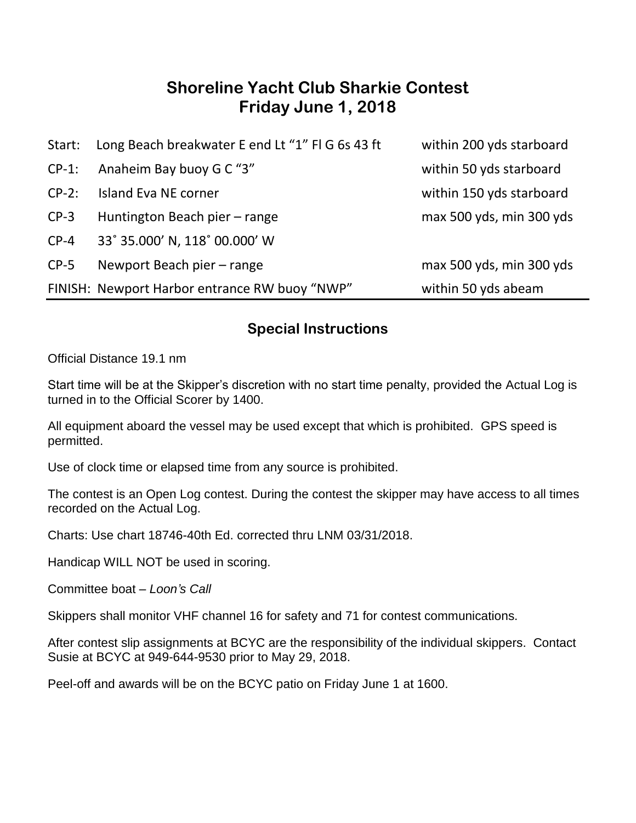## **Shoreline Yacht Club Sharkie Contest Friday June 1, 2018**

| Start:   | Long Beach breakwater E end Lt "1" FI G 6s 43 ft | within 200 yds starboard |
|----------|--------------------------------------------------|--------------------------|
| $CP-1$ : | Anaheim Bay buoy G C "3"                         | within 50 yds starboard  |
| $CP-2$ : | Island Eva NE corner                             | within 150 yds starboard |
| $CP-3$   | Huntington Beach pier - range                    | max 500 yds, min 300 yds |
| $CP-4$   | 33° 35.000' N, 118° 00.000' W                    |                          |
| $CP-5$   | Newport Beach pier - range                       | max 500 yds, min 300 yds |
|          | FINISH: Newport Harbor entrance RW buoy "NWP"    | within 50 yds abeam      |

#### **Special Instructions**

Official Distance 19.1 nm

Start time will be at the Skipper's discretion with no start time penalty, provided the Actual Log is turned in to the Official Scorer by 1400.

All equipment aboard the vessel may be used except that which is prohibited. GPS speed is permitted.

Use of clock time or elapsed time from any source is prohibited.

The contest is an Open Log contest. During the contest the skipper may have access to all times recorded on the Actual Log.

Charts: Use chart 18746-40th Ed. corrected thru LNM 03/31/2018.

Handicap WILL NOT be used in scoring.

Committee boat – *Loon's Call*

Skippers shall monitor VHF channel 16 for safety and 71 for contest communications.

After contest slip assignments at BCYC are the responsibility of the individual skippers. Contact Susie at BCYC at 949-644-9530 prior to May 29, 2018.

Peel-off and awards will be on the BCYC patio on Friday June 1 at 1600.